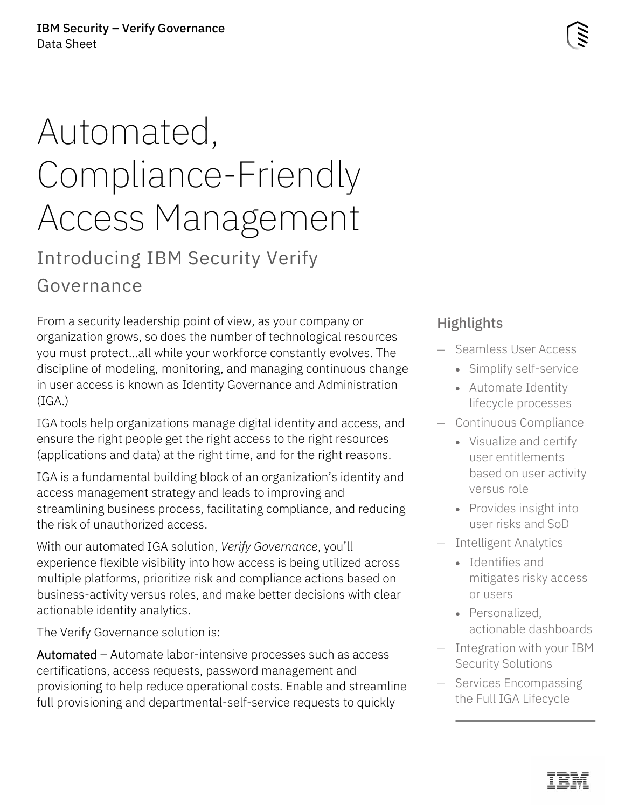# Automated, Compliance-Friendly Access Management

Introducing IBM Security Verify Governance

From a security leadership point of view, as your company or organization grows, so does the number of technological resources you must protect…all while your workforce constantly evolves. The discipline of modeling, monitoring, and managing continuous change in user access is known as Identity Governance and Administration  $(IGA.)$ 

IGA tools help organizations manage digital identity and access, and ensure the right people get the right access to the right resources (applications and data) at the right time, and for the right reasons.

IGA is a fundamental building block of an organization's identity and access management strategy and leads to improving and streamlining business process, facilitating compliance, and reducing the risk of unauthorized access.

With our automated IGA solution, *Verify Governance*, you'll experience flexible visibility into how access is being utilized across multiple platforms, prioritize risk and compliance actions based on business-activity versus roles, and make better decisions with clear actionable identity analytics.

The Verify Governance solution is:

Automated – Automate labor-intensive processes such as access certifications, access requests, password management and provisioning to help reduce operational costs. Enable and streamline full provisioning and departmental-self-service requests to quickly

## **Highlights**

- Seamless User Access
	- Simplify self-service
	- Automate Identity lifecycle processes
- Continuous Compliance
	- Visualize and certify user entitlements based on user activity versus role
	- Provides insight into user risks and SoD
- Intelligent Analytics
	- Identifies and mitigates risky access or users
	- Personalized, actionable dashboards
- Integration with your IBM Security Solutions
- Services Encompassing the Full IGA Lifecycle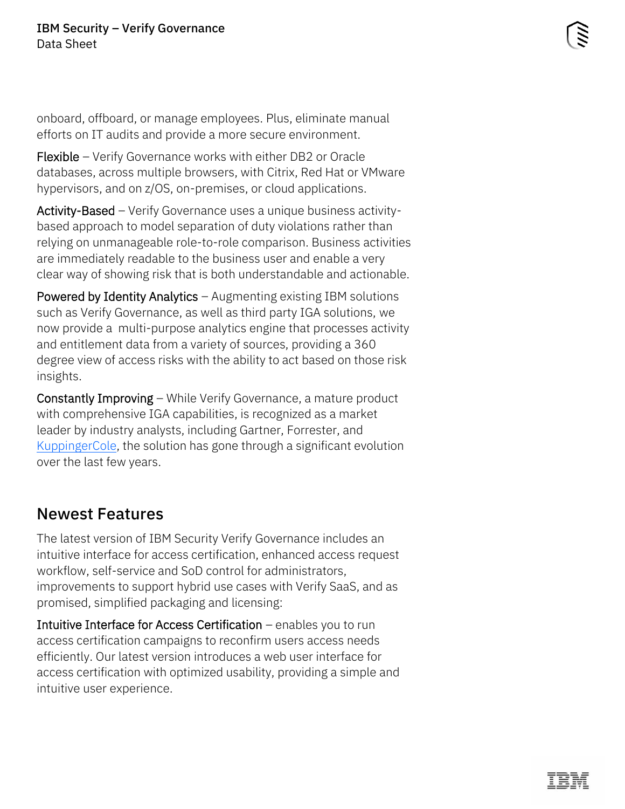onboard, offboard, or manage employees. Plus, eliminate manual efforts on IT audits and provide a more secure environment.

Flexible – Verify Governance works with either DB2 or Oracle databases, across multiple browsers, with Citrix, Red Hat or VMware hypervisors, and on z/OS, on-premises, or cloud applications.

Activity-Based – Verify Governance uses a unique business activitybased approach to model separation of duty violations rather than relying on unmanageable role-to-role comparison. Business activities are immediately readable to the business user and enable a very clear way of showing risk that is both understandable and actionable.

Powered by Identity Analytics – Augmenting existing IBM solutions such as Verify Governance, as well as third party IGA solutions, we now provide a multi-purpose analytics engine that processes activity and entitlement data from a variety of sources, providing a 360 degree view of access risks with the ability to act based on those risk insights.

Constantly Improving – While Verify Governance, a mature product with comprehensive IGA capabilities, is recognized as a market leader by industry analysts, including Gartner, Forrester, and [KuppingerCole,](https://www.ibm.com/account/reg/us-en/signup?formid=urx-47506) the solution has gone through a significant evolution over the last few years.

#### Newest Features

The latest version of IBM Security Verify Governance includes an intuitive interface for access certification, enhanced access request workflow, self-service and SoD control for administrators, improvements to support hybrid use cases with Verify SaaS, and as promised, simplified packaging and licensing:

Intuitive Interface for Access Certification – enables you to run access certification campaigns to reconfirm users access needs efficiently. Our latest version introduces a web user interface for access certification with optimized usability, providing a simple and intuitive user experience.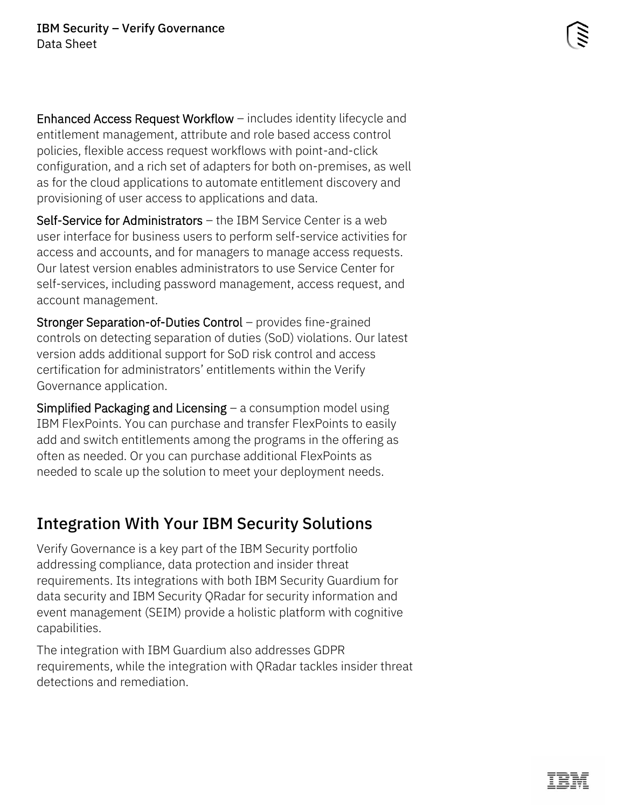Enhanced Access Request Workflow – includes identity lifecycle and entitlement management, attribute and role based access control policies, flexible access request workflows with point-and-click configuration, and a rich set of adapters for both on-premises, as well as for the cloud applications to automate entitlement discovery and provisioning of user access to applications and data.

Self-Service for Administrators – the IBM Service Center is a web user interface for business users to perform self-service activities for access and accounts, and for managers to manage access requests. Our latest version enables administrators to use Service Center for self-services, including password management, access request, and account management.

Stronger Separation-of-Duties Control – provides fine-grained controls on detecting separation of duties (SoD) violations. Our latest version adds additional support for SoD risk control and access certification for administrators' entitlements within the Verify Governance application.

**Simplified Packaging and Licensing**  $-$  a consumption model using IBM FlexPoints. You can purchase and transfer FlexPoints to easily add and switch entitlements among the programs in the offering as often as needed. Or you can purchase additional FlexPoints as needed to scale up the solution to meet your deployment needs.

#### Integration With Your IBM Security Solutions

Verify Governance is a key part of the IBM Security portfolio addressing compliance, data protection and insider threat requirements. Its integrations with both IBM Security Guardium for data security and IBM Security QRadar for security information and event management (SEIM) provide a holistic platform with cognitive capabilities.

The integration with IBM Guardium also addresses GDPR requirements, while the integration with QRadar tackles insider threat detections and remediation.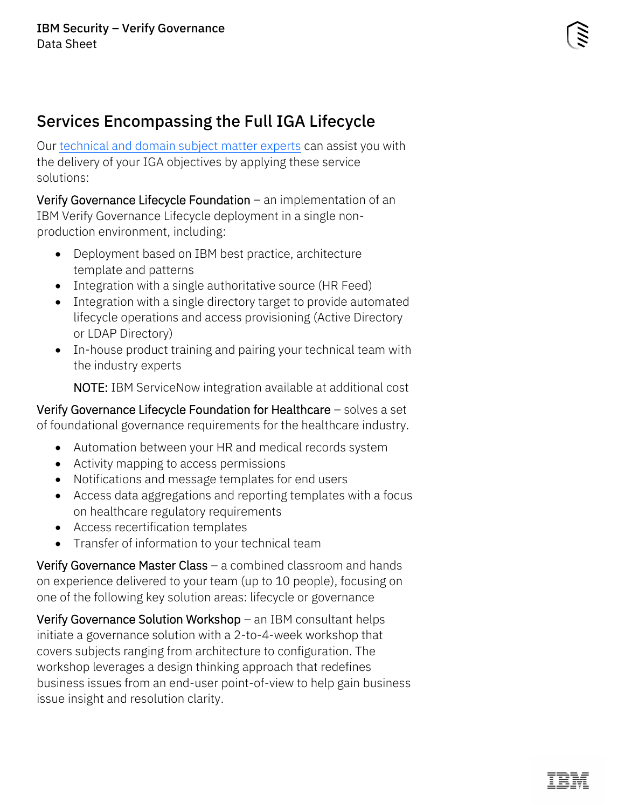#### Services Encompassing the Full IGA Lifecycle

Our [technical and domain subject matter experts](https://www.ibm.com/security/security-expert-labs) can assist you with the delivery of your IGA objectives by applying these service solutions:

Verify Governance Lifecycle Foundation – an implementation of an IBM Verify Governance Lifecycle deployment in a single nonproduction environment, including:

- Deployment based on IBM best practice, architecture template and patterns
- Integration with a single authoritative source (HR Feed)
- Integration with a single directory target to provide automated lifecycle operations and access provisioning (Active Directory or LDAP Directory)
- In-house product training and pairing your technical team with the industry experts

NOTE: IBM ServiceNow integration available at additional cost

Verify Governance Lifecycle Foundation for Healthcare – solves a set of foundational governance requirements for the healthcare industry.

- Automation between your HR and medical records system
- Activity mapping to access permissions
- Notifications and message templates for end users
- Access data aggregations and reporting templates with a focus on healthcare regulatory requirements
- Access recertification templates
- Transfer of information to your technical team

Verify Governance Master Class – a combined classroom and hands on experience delivered to your team (up to 10 people), focusing on one of the following key solution areas: lifecycle or governance

Verify Governance Solution Workshop – an IBM consultant helps initiate a governance solution with a 2-to-4-week workshop that covers subjects ranging from architecture to configuration. The workshop leverages a design thinking approach that redefines business issues from an end-user point-of-view to help gain business issue insight and resolution clarity.